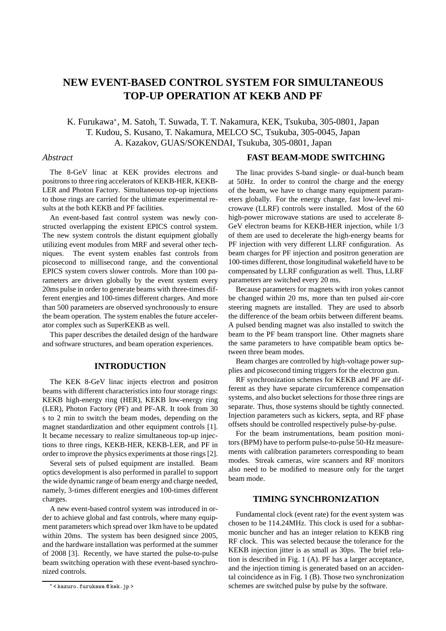# **NEW EVENT-BASED CONTROL SYSTEM FOR SIMULTANEOUS TOP-UP OPERATION AT KEKB AND PF**

# K. Furukawa<sup>∗</sup> , M. Satoh, T. Suwada, T. T. Nakamura, KEK, Tsukuba, 305-0801, Japan T. Kudou, S. Kusano, T. Nakamura, MELCO SC, Tsukuba, 305-0045, Japan A. Kazakov, GUAS/SOKENDAI, Tsukuba, 305-0801, Japan

#### *Abstract*

The 8-GeV linac at KEK provides electrons and positrons to three ring accelerators of KEKB-HER, KEKB-LER and Photon Factory. Simultaneous top-up injections to those rings are carried for the ultimate experimental results at the both KEKB and PF facilities.

An event-based fast control system was newly constructed overlapping the existent EPICS control system. The new system controls the distant equipment globally utilizing event modules from MRF and several other techniques. The event system enables fast controls from picosecond to millisecond range, and the conventional EPICS system covers slower controls. More than 100 parameters are driven globally by the event system every 20ms pulse in order to generate beams with three-times different energies and 100-times different charges. And more than 500 parameters are observed synchronously to ensure the beam operation. The system enables the future accelerator complex such as SuperKEKB as well.

This paper describes the detailed design of the hardware and software structures, and beam operation experiences.

#### **INTRODUCTION**

The KEK 8-GeV linac injects electron and positron beams with different characteristics into four storage rings: KEKB high-energy ring (HER), KEKB low-energy ring (LER), Photon Factory (PF) and PF-AR. It took from 30 s to 2 min to switch the beam modes, depending on the magnet standardization and other equipment controls [1]. It became necessary to realize simultaneous top-up injections to three rings, KEKB-HER, KEKB-LER, and PF in order to improve the physics experiments at those rings [2].

Several sets of pulsed equipment are installed. Beam optics development is also performed in parallel to support the wide dynamic range of beam energy and charge needed, namely, 3-times different energies and 100-times different charges.

A new event-based control system was introduced in order to achieve global and fast controls, where many equipment parameters which spread over 1km have to be updated within 20ms. The system has been designed since 2005, and the hardware installation was performed at the summer of 2008 [3]. Recently, we have started the pulse-to-pulse beam switching operation with these event-based synchronized controls.

#### **FAST BEAM-MODE SWITCHING**

The linac provides S-band single- or dual-bunch beam at 50Hz. In order to control the charge and the energy of the beam, we have to change many equipment parameters globally. For the energy change, fast low-level microwave (LLRF) controls were installed. Most of the 60 high-power microwave stations are used to accelerate 8- GeV electron beams for KEKB-HER injection, while 1/3 of them are used to decelerate the high-energy beams for PF injection with very different LLRF configuration. As beam charges for PF injection and positron generation are 100-times different, those longitudinal wakefield have to be compensated by LLRF configuration as well. Thus, LLRF parameters are switched every 20 ms.

Because parameters for magnets with iron yokes cannot be changed within 20 ms, more than ten pulsed air-core steering magnets are installed. They are used to absorb the difference of the beam orbits between different beams. A pulsed bending magnet was also installed to switch the beam to the PF beam transport line. Other magnets share the same parameters to have compatible beam optics between three beam modes.

Beam charges are controlled by high-voltage power supplies and picosecond timing triggers for the electron gun.

RF synchronization schemes for KEKB and PF are different as they have separate circumference compensation systems, and also bucket selections for those three rings are separate. Thus, those systems should be tightly connected. Injection parameters such as kickers, septa, and RF phase offsets should be controlled respectively pulse-by-pulse.

For the beam instrumentations, beam position monitors (BPM) have to perform pulse-to-pulse 50-Hz measurements with calibration parameters corresponding to beam modes. Streak cameras, wire scanners and RF monitors also need to be modified to measure only for the target beam mode.

## **TIMING SYNCHRONIZATION**

Fundamental clock (event rate) for the event system was chosen to be 114.24MHz. This clock is used for a subharmonic buncher and has an integer relation to KEKB ring RF clock. This was selected because the tolerance for the KEKB injection jitter is as small as 30ps. The brief relation is described in Fig. 1 (A). PF has a larger acceptance, and the injection timing is generated based on an accidental coincidence as in Fig. 1 (B). Those two synchronization schemes are switched pulse by pulse by the software.

<sup>∗</sup> < kazuro.furukawa @ kek.jp >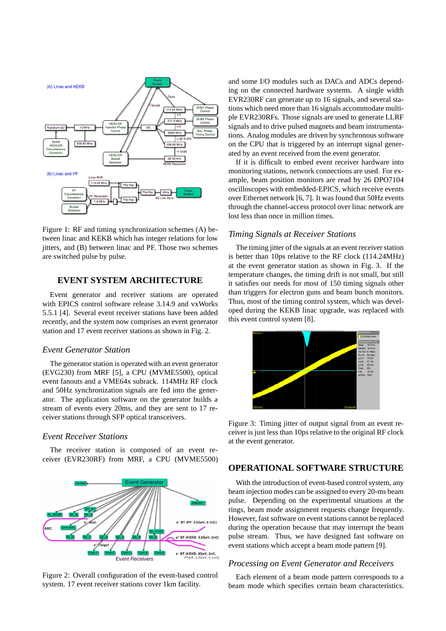

Figure 1: RF and timing synchronization schemes (A) between linac and KEKB which has integer relations for low jitters, and (B) between linac and PF. Those two schemes are switched pulse by pulse.

## **EVENT SYSTEM ARCHITECTURE**

Event generator and receiver stations are operated with EPICS control software release 3.14.9 and vxWorks 5.5.1 [4]. Several event receiver stations have been added recently, and the system now comprises an event generator station and 17 event receiver stations as shown in Fig. 2.

#### *Event Generator Station*

The generator station is operated with an event generator (EVG230) from MRF [5], a CPU (MVME5500), optical event fanouts and a VME64x subrack. 114MHz RF clock and 50Hz synchronization signals are fed into the generator. The application software on the generator builds a stream of events every 20ms, and they are sent to 17 receiver stations through SFP optical transceivers.

#### *Event Receiver Stations*

The receiver station is composed of an event receiver (EVR230RF) from MRF, a CPU (MVME5500)



Figure 2: Overall configuration of the event-based control system. 17 event receiver stations cover 1km facility.

and some I/O modules such as DACs and ADCs depending on the connected hardware systems. A single width EVR230RF can generate up to 16 signals, and several stations which need more than 16 signals accommodate multiple EVR230RFs. Those signals are used to generate LLRF signals and to drive pulsed magnets and beam instrumentations. Analog modules are driven by synchronous software on the CPU that is triggered by an interrupt signal generated by an event received from the event generator.

If it is difficult to embed event receiver hardware into monitoring stations, network connections are used. For example, beam position monitors are read by 26 DPO7104 oscilloscopes with embedded-EPICS, which receive events over Ethernet network [6, 7]. It was found that 50Hz events through the channel-access protocol over linac network are lost less than once in million times.

# *Timing Signals at Receiver Stations*

The timing jitter of the signals at an event receiver station is better than 10ps relative to the RF clock (114.24MHz) at the event generator station as shown in Fig. 3. If the temperature changes, the timing drift is not small, but still it satisfies our needs for most of 150 timing signals other than triggers for electron guns and beam bunch monitors. Thus, most of the timing control system, which was developed during the KEKB linac upgrade, was replaced with this event control system [8].



Figure 3: Timing jitter of output signal from an event receiver is just less than 10ps relative to the original RF clock at the event generator.

#### **OPERATIONAL SOFTWARE STRUCTURE**

With the introduction of event-based control system, any beam injection modes can be assigned to every 20-ms beam pulse. Depending on the experimental situations at the rings, beam mode assignment requests change frequently. However, fast software on event stations cannot be replaced during the operation because that may interrupt the beam pulse stream. Thus, we have designed fast software on event stations which accept a beam mode pattern [9].

#### *Processing on Event Generator and Receivers*

Each element of a beam mode pattern corresponds to a beam mode which specifies certain beam characteristics.